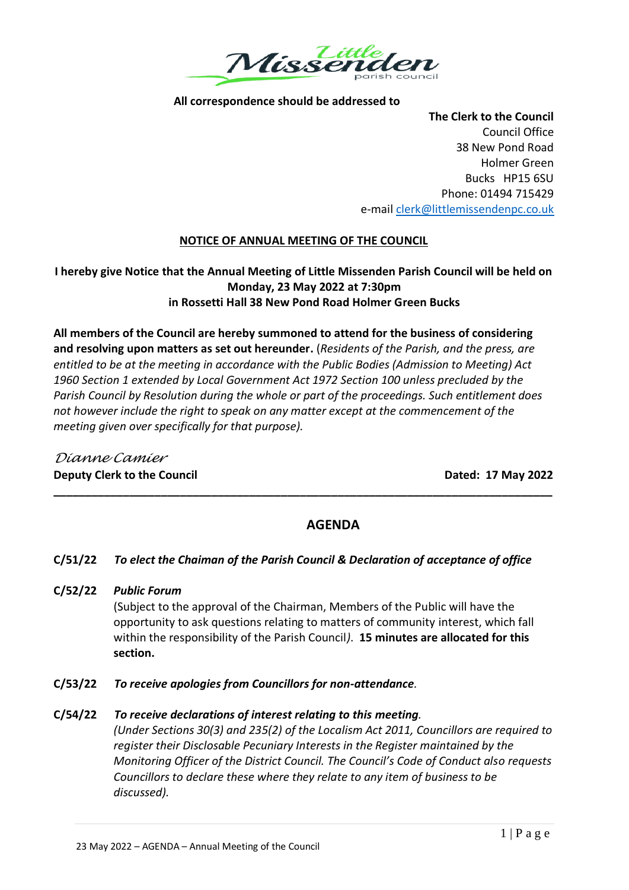

# **All correspondence should be addressed to**

**The Clerk to the Council** Council Office 38 New Pond Road Holmer Green Bucks HP15 6SU Phone: 01494 715429 e-mail [clerk@littlemissendenpc.co.uk](mailto:clerk@littlemissendenpc.co.uk)

# **NOTICE OF ANNUAL MEETING OF THE COUNCIL**

# **I hereby give Notice that the Annual Meeting of Little Missenden Parish Council will be held on Monday, 23 May 2022 at 7:30pm in Rossetti Hall 38 New Pond Road Holmer Green Bucks**

**All members of the Council are hereby summoned to attend for the business of considering and resolving upon matters as set out hereunder.** (*Residents of the Parish, and the press, are entitled to be at the meeting in accordance with the Public Bodies (Admission to Meeting) Act 1960 Section 1 extended by Local Government Act 1972 Section 100 unless precluded by the Parish Council by Resolution during the whole or part of the proceedings. Such entitlement does not however include the right to speak on any matter except at the commencement of the meeting given over specifically for that purpose).*

*Dianne Camier* **Deputy Clerk to the Council Dated: 17 May 2022**

# **AGENDA**

# **C/51/22** *To elect the Chaiman of the Parish Council & Declaration of acceptance of office*

**\_\_\_\_\_\_\_\_\_\_\_\_\_\_\_\_\_\_\_\_\_\_\_\_\_\_\_\_\_\_\_\_\_\_\_\_\_\_\_\_\_\_\_\_\_\_\_\_\_\_\_\_\_\_\_\_\_\_\_\_\_\_\_\_\_\_\_\_\_\_\_\_\_\_\_\_\_\_\_**

**C/52/22** *Public Forum*

(Subject to the approval of the Chairman, Members of the Public will have the opportunity to ask questions relating to matters of community interest, which fall within the responsibility of the Parish Council*)*. **15 minutes are allocated for this section.**

**C/53/22** *To receive apologies from Councillors for non-attendance.*

# **C/54/22** *To receive declarations of interest relating to this meeting.*

*(Under Sections 30(3) and 235(2) of the Localism Act 2011, Councillors are required to register their Disclosable Pecuniary Interests in the Register maintained by the Monitoring Officer of the District Council. The Council's Code of Conduct also requests Councillors to declare these where they relate to any item of business to be discussed).*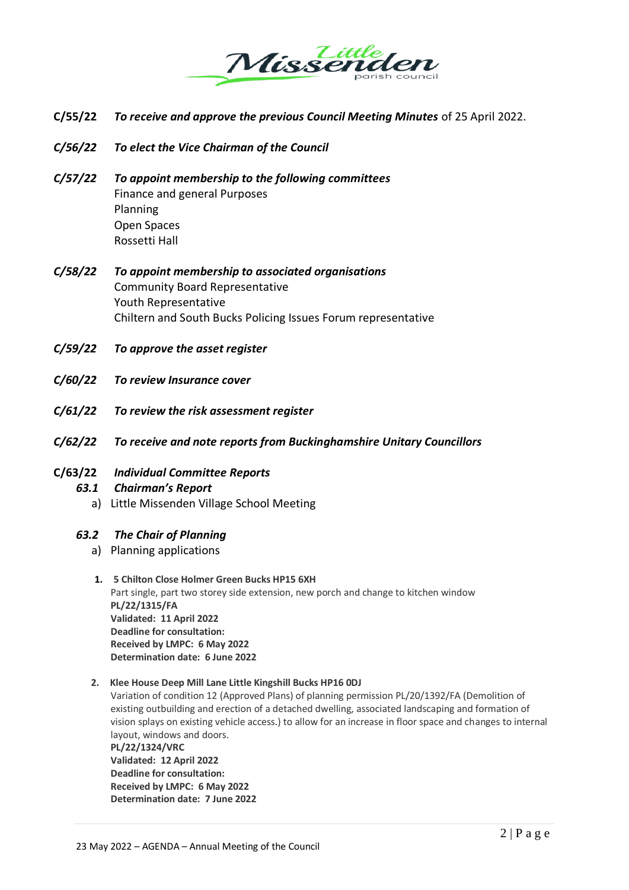

- **C/55/22** *To receive and approve the previous Council Meeting Minutes* of 25 April 2022.
- *C/56/22 To elect the Vice Chairman of the Council*
- *C/57/22 To appoint membership to the following committees* Finance and general Purposes Planning Open Spaces Rossetti Hall
- *C/58/22 To appoint membership to associated organisations* Community Board Representative Youth Representative Chiltern and South Bucks Policing Issues Forum representative
- *C/59/22 To approve the asset register*
- *C/60/22 To review Insurance cover*
- *C/61/22 To review the risk assessment register*
- *C/62/22 To receive and note reports from Buckinghamshire Unitary Councillors*
- **C/63/22** *Individual Committee Reports 63.1 Chairman's Report*
	- a) Little Missenden Village School Meeting

#### *63.2 The Chair of Planning*

- a) Planning applications
- **1. 5 Chilton Close Holmer Green Bucks HP15 6XH** Part single, part two storey side extension, new porch and change to kitchen window **PL/22/1315/FA Validated: 11 April 2022 Deadline for consultation: Received by LMPC: 6 May 2022 Determination date: 6 June 2022**

#### **2. Klee House Deep Mill Lane Little Kingshill Bucks HP16 0DJ**

Variation of condition 12 (Approved Plans) of planning permission PL/20/1392/FA (Demolition of existing outbuilding and erection of a detached dwelling, associated landscaping and formation of vision splays on existing vehicle access.) to allow for an increase in floor space and changes to internal layout, windows and doors. **PL/22/1324/VRC**

**Validated: 12 April 2022 Deadline for consultation: Received by LMPC: 6 May 2022 Determination date: 7 June 2022**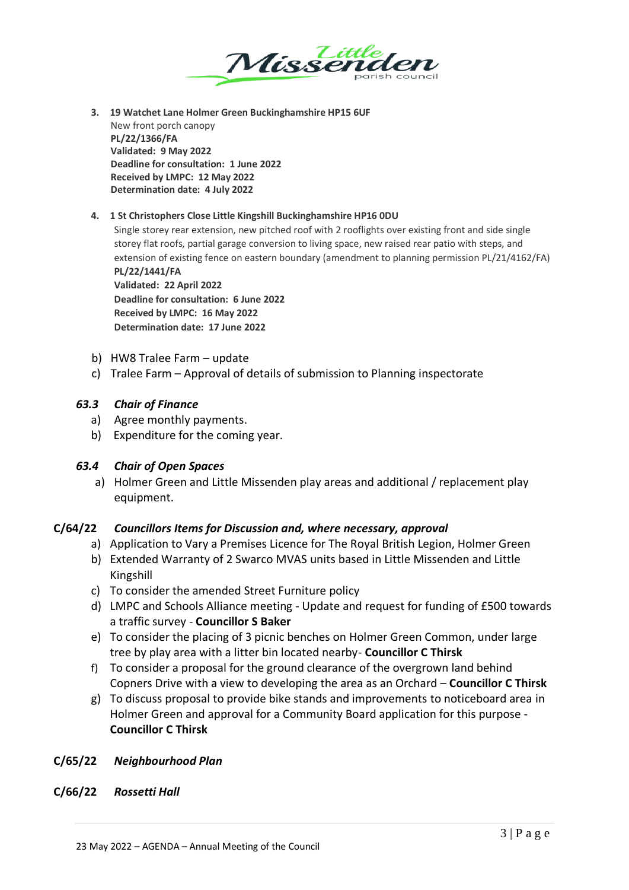

**3. 19 Watchet Lane Holmer Green Buckinghamshire HP15 6UF** New front porch canopy **PL/22/1366/FA Validated: 9 May 2022 Deadline for consultation: 1 June 2022 Received by LMPC: 12 May 2022 Determination date: 4 July 2022**

#### **4. 1 St Christophers Close Little Kingshill Buckinghamshire HP16 0DU**

Single storey rear extension, new pitched roof with 2 rooflights over existing front and side single storey flat roofs, partial garage conversion to living space, new raised rear patio with steps, and extension of existing fence on eastern boundary (amendment to planning permission PL/21/4162/FA) **PL/22/1441/FA**

**Validated: 22 April 2022 Deadline for consultation: 6 June 2022 Received by LMPC: 16 May 2022 Determination date: 17 June 2022**

- b) HW8 Tralee Farm update
- c) Tralee Farm Approval of details of submission to Planning inspectorate

#### *63.3 Chair of Finance*

- a) Agree monthly payments.
- b) Expenditure for the coming year.

#### *63.4 Chair of Open Spaces*

a) Holmer Green and Little Missenden play areas and additional / replacement play equipment.

#### **C/64/22** *Councillors Items for Discussion and, where necessary, approval*

- a) Application to Vary a Premises Licence for The Royal British Legion, Holmer Green
- b) Extended Warranty of 2 Swarco MVAS units based in Little Missenden and Little Kingshill
- c) To consider the amended Street Furniture policy
- d) LMPC and Schools Alliance meeting Update and request for funding of £500 towards a traffic survey - **Councillor S Baker**
- e) To consider the placing of 3 picnic benches on Holmer Green Common, under large tree by play area with a litter bin located nearby- **Councillor C Thirsk**
- f) To consider a proposal for the ground clearance of the overgrown land behind Copners Drive with a view to developing the area as an Orchard – **Councillor C Thirsk**
- g) To discuss proposal to provide bike stands and improvements to noticeboard area in Holmer Green and approval for a Community Board application for this purpose - **Councillor C Thirsk**

#### **C/65/22** *Neighbourhood Plan*

#### **C/66/22** *Rossetti Hall*